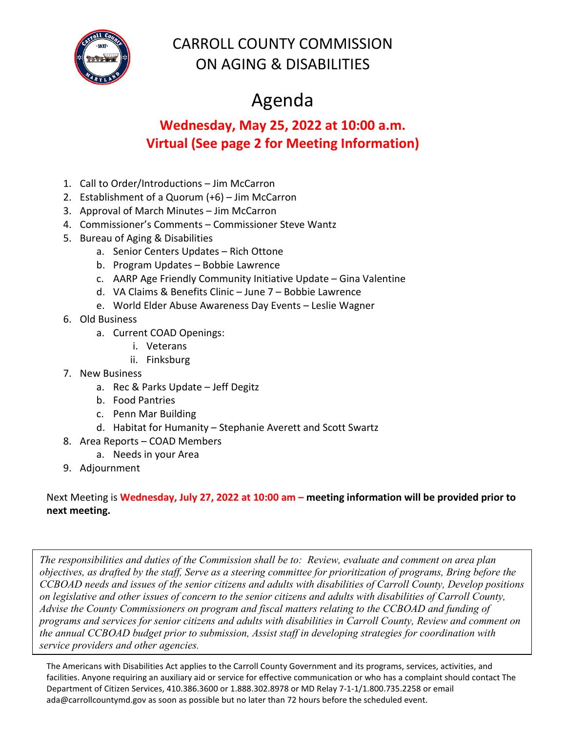

## CARROLL COUNTY COMMISSION ON AGING & DISABILITIES

## Agenda

## **Wednesday, May 25, 2022 at 10:00 a.m. Virtual (See page 2 for Meeting Information)**

- 1. Call to Order/Introductions Jim McCarron
- 2. Establishment of a Quorum (+6) Jim McCarron
- 3. Approval of March Minutes Jim McCarron
- 4. Commissioner's Comments Commissioner Steve Wantz
- 5. Bureau of Aging & Disabilities
	- a. Senior Centers Updates Rich Ottone
	- b. Program Updates Bobbie Lawrence
	- c. AARP Age Friendly Community Initiative Update Gina Valentine
	- d. VA Claims & Benefits Clinic June 7 Bobbie Lawrence
	- e. World Elder Abuse Awareness Day Events Leslie Wagner
- 6. Old Business
	- a. Current COAD Openings:
		- i. Veterans
		- ii. Finksburg
- 7. New Business
	- a. Rec & Parks Update Jeff Degitz
	- b. Food Pantries
	- c. Penn Mar Building
	- d. Habitat for Humanity Stephanie Averett and Scott Swartz
- 8. Area Reports COAD Members
	- a. Needs in your Area
- 9. Adjournment

Next Meeting is **Wednesday, July 27, 2022 at 10:00 am – meeting information will be provided prior to next meeting.**

*The responsibilities and duties of the Commission shall be to: Review, evaluate and comment on area plan objectives, as drafted by the staff, Serve as a steering committee for prioritization of programs, Bring before the CCBOAD needs and issues of the senior citizens and adults with disabilities of Carroll County, Develop positions on legislative and other issues of concern to the senior citizens and adults with disabilities of Carroll County, Advise the County Commissioners on program and fiscal matters relating to the CCBOAD and funding of programs and services for senior citizens and adults with disabilities in Carroll County, Review and comment on the annual CCBOAD budget prior to submission, Assist staff in developing strategies for coordination with service providers and other agencies.*

The Americans with Disabilities Act applies to the Carroll County Government and its programs, services, activities, and facilities. Anyone requiring an auxiliary aid or service for effective communication or who has a complaint should contact The Department of Citizen Services, 410.386.3600 or 1.888.302.8978 or MD Relay 7-1-1/1.800.735.2258 or email [ada@ca](mailto:ada@ccg.carr.org)rrollcountymd.gov as soon as possible but no later than 72 hours before the scheduled event.